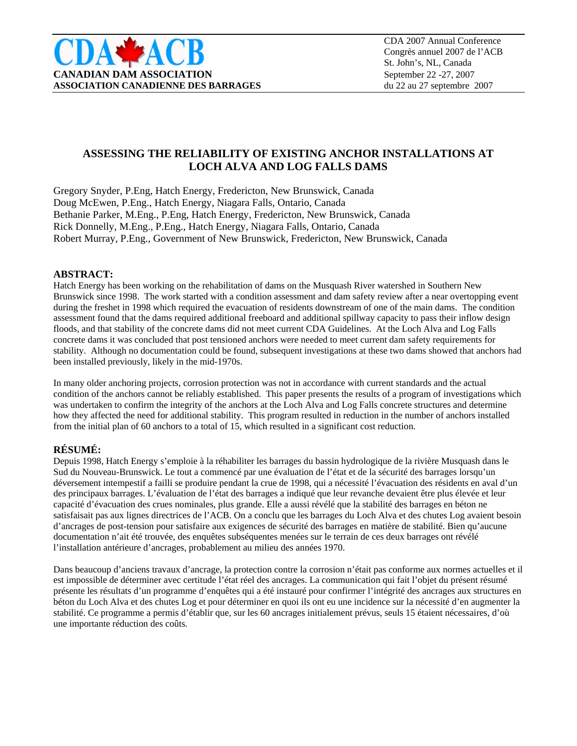

# **ASSESSING THE RELIABILITY OF EXISTING ANCHOR INSTALLATIONS AT LOCH ALVA AND LOG FALLS DAMS**

Gregory Snyder, P.Eng, Hatch Energy, Fredericton, New Brunswick, Canada Doug McEwen, P.Eng., Hatch Energy, Niagara Falls, Ontario, Canada Bethanie Parker, M.Eng., P.Eng, Hatch Energy, Fredericton, New Brunswick, Canada Rick Donnelly, M.Eng., P.Eng., Hatch Energy, Niagara Falls, Ontario, Canada Robert Murray, P.Eng., Government of New Brunswick, Fredericton, New Brunswick, Canada

#### **ABSTRACT:**

Hatch Energy has been working on the rehabilitation of dams on the Musquash River watershed in Southern New Brunswick since 1998. The work started with a condition assessment and dam safety review after a near overtopping event during the freshet in 1998 which required the evacuation of residents downstream of one of the main dams. The condition assessment found that the dams required additional freeboard and additional spillway capacity to pass their inflow design floods, and that stability of the concrete dams did not meet current CDA Guidelines. At the Loch Alva and Log Falls concrete dams it was concluded that post tensioned anchors were needed to meet current dam safety requirements for stability. Although no documentation could be found, subsequent investigations at these two dams showed that anchors had been installed previously, likely in the mid-1970s.

In many older anchoring projects, corrosion protection was not in accordance with current standards and the actual condition of the anchors cannot be reliably established. This paper presents the results of a program of investigations which was undertaken to confirm the integrity of the anchors at the Loch Alva and Log Falls concrete structures and determine how they affected the need for additional stability. This program resulted in reduction in the number of anchors installed from the initial plan of 60 anchors to a total of 15, which resulted in a significant cost reduction.

### **RÉSUMÉ:**

Depuis 1998, Hatch Energy s'emploie à la réhabiliter les barrages du bassin hydrologique de la rivière Musquash dans le Sud du Nouveau-Brunswick. Le tout a commencé par une évaluation de l'état et de la sécurité des barrages lorsqu'un déversement intempestif a failli se produire pendant la crue de 1998, qui a nécessité l'évacuation des résidents en aval d'un des principaux barrages. L'évaluation de l'état des barrages a indiqué que leur revanche devaient être plus élevée et leur capacité d'évacuation des crues nominales, plus grande. Elle a aussi révélé que la stabilité des barrages en béton ne satisfaisait pas aux lignes directrices de l'ACB. On a conclu que les barrages du Loch Alva et des chutes Log avaient besoin d'ancrages de post-tension pour satisfaire aux exigences de sécurité des barrages en matière de stabilité. Bien qu'aucune documentation n'ait été trouvée, des enquêtes subséquentes menées sur le terrain de ces deux barrages ont révélé l'installation antérieure d'ancrages, probablement au milieu des années 1970.

Dans beaucoup d'anciens travaux d'ancrage, la protection contre la corrosion n'était pas conforme aux normes actuelles et il est impossible de déterminer avec certitude l'état réel des ancrages. La communication qui fait l'objet du présent résumé présente les résultats d'un programme d'enquêtes qui a été instauré pour confirmer l'intégrité des ancrages aux structures en béton du Loch Alva et des chutes Log et pour déterminer en quoi ils ont eu une incidence sur la nécessité d'en augmenter la stabilité. Ce programme a permis d'établir que, sur les 60 ancrages initialement prévus, seuls 15 étaient nécessaires, d'où une importante réduction des coûts.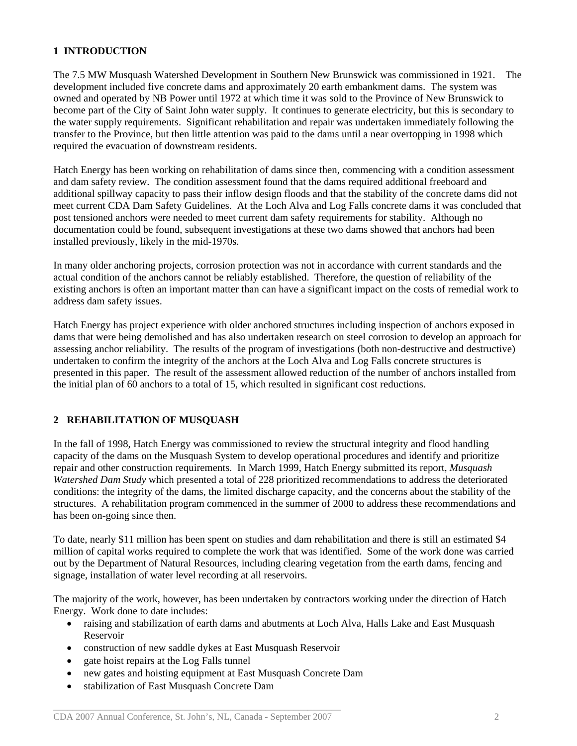## **1 INTRODUCTION**

The 7.5 MW Musquash Watershed Development in Southern New Brunswick was commissioned in 1921. The development included five concrete dams and approximately 20 earth embankment dams. The system was owned and operated by NB Power until 1972 at which time it was sold to the Province of New Brunswick to become part of the City of Saint John water supply. It continues to generate electricity, but this is secondary to the water supply requirements. Significant rehabilitation and repair was undertaken immediately following the transfer to the Province, but then little attention was paid to the dams until a near overtopping in 1998 which required the evacuation of downstream residents.

Hatch Energy has been working on rehabilitation of dams since then, commencing with a condition assessment and dam safety review. The condition assessment found that the dams required additional freeboard and additional spillway capacity to pass their inflow design floods and that the stability of the concrete dams did not meet current CDA Dam Safety Guidelines. At the Loch Alva and Log Falls concrete dams it was concluded that post tensioned anchors were needed to meet current dam safety requirements for stability. Although no documentation could be found, subsequent investigations at these two dams showed that anchors had been installed previously, likely in the mid-1970s.

In many older anchoring projects, corrosion protection was not in accordance with current standards and the actual condition of the anchors cannot be reliably established. Therefore, the question of reliability of the existing anchors is often an important matter than can have a significant impact on the costs of remedial work to address dam safety issues.

Hatch Energy has project experience with older anchored structures including inspection of anchors exposed in dams that were being demolished and has also undertaken research on steel corrosion to develop an approach for assessing anchor reliability. The results of the program of investigations (both non-destructive and destructive) undertaken to confirm the integrity of the anchors at the Loch Alva and Log Falls concrete structures is presented in this paper. The result of the assessment allowed reduction of the number of anchors installed from the initial plan of 60 anchors to a total of 15, which resulted in significant cost reductions.

# **2 REHABILITATION OF MUSQUASH**

In the fall of 1998, Hatch Energy was commissioned to review the structural integrity and flood handling capacity of the dams on the Musquash System to develop operational procedures and identify and prioritize repair and other construction requirements. In March 1999, Hatch Energy submitted its report, *Musquash Watershed Dam Study* which presented a total of 228 prioritized recommendations to address the deteriorated conditions: the integrity of the dams, the limited discharge capacity, and the concerns about the stability of the structures. A rehabilitation program commenced in the summer of 2000 to address these recommendations and has been on-going since then.

To date, nearly \$11 million has been spent on studies and dam rehabilitation and there is still an estimated \$4 million of capital works required to complete the work that was identified. Some of the work done was carried out by the Department of Natural Resources, including clearing vegetation from the earth dams, fencing and signage, installation of water level recording at all reservoirs.

The majority of the work, however, has been undertaken by contractors working under the direction of Hatch Energy. Work done to date includes:

- raising and stabilization of earth dams and abutments at Loch Alva, Halls Lake and East Musquash Reservoir
- construction of new saddle dykes at East Musquash Reservoir
- gate hoist repairs at the Log Falls tunnel
- new gates and hoisting equipment at East Musquash Concrete Dam
- stabilization of East Musquash Concrete Dam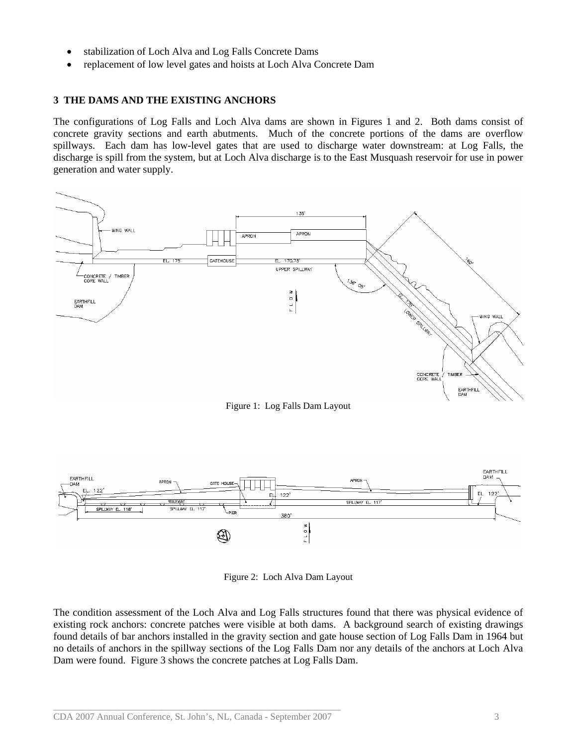- stabilization of Loch Alva and Log Falls Concrete Dams
- replacement of low level gates and hoists at Loch Alva Concrete Dam

### **3 THE DAMS AND THE EXISTING ANCHORS**

The configurations of Log Falls and Loch Alva dams are shown in Figures 1 and 2. Both dams consist of concrete gravity sections and earth abutments. Much of the concrete portions of the dams are overflow spillways. Each dam has low-level gates that are used to discharge water downstream: at Log Falls, the discharge is spill from the system, but at Loch Alva discharge is to the East Musquash reservoir for use in power generation and water supply.



Figure 1: Log Falls Dam Layout



Figure 2: Loch Alva Dam Layout

The condition assessment of the Loch Alva and Log Falls structures found that there was physical evidence of existing rock anchors: concrete patches were visible at both dams. A background search of existing drawings found details of bar anchors installed in the gravity section and gate house section of Log Falls Dam in 1964 but no details of anchors in the spillway sections of the Log Falls Dam nor any details of the anchors at Loch Alva Dam were found. Figure 3 shows the concrete patches at Log Falls Dam.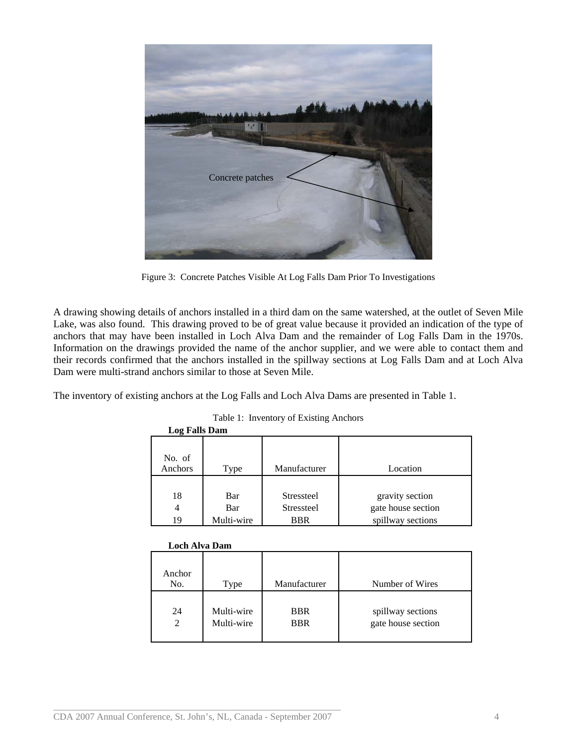

Figure 3: Concrete Patches Visible At Log Falls Dam Prior To Investigations

A drawing showing details of anchors installed in a third dam on the same watershed, at the outlet of Seven Mile Lake, was also found. This drawing proved to be of great value because it provided an indication of the type of anchors that may have been installed in Loch Alva Dam and the remainder of Log Falls Dam in the 1970s. Information on the drawings provided the name of the anchor supplier, and we were able to contact them and their records confirmed that the anchors installed in the spillway sections at Log Falls Dam and at Loch Alva Dam were multi-strand anchors similar to those at Seven Mile.

The inventory of existing anchors at the Log Falls and Loch Alva Dams are presented in Table 1.

| Log Falls Dam     |            |                   |                    |
|-------------------|------------|-------------------|--------------------|
| No. of<br>Anchors | Type       | Manufacturer      | Location           |
|                   |            |                   |                    |
| 18                | Bar        | <b>Stressteel</b> | gravity section    |
| 4                 | Bar        | <b>Stressteel</b> | gate house section |
| 19                | Multi-wire | BBR               | spillway sections  |
|                   |            |                   |                    |

# Table 1: Inventory of Existing Anchors

# **Loch Alva Dam**

| Anchor<br>No. | Type       | Manufacturer | Number of Wires    |
|---------------|------------|--------------|--------------------|
| 24            | Multi-wire | <b>BBR</b>   | spillway sections  |
| 2             | Multi-wire | <b>BBR</b>   | gate house section |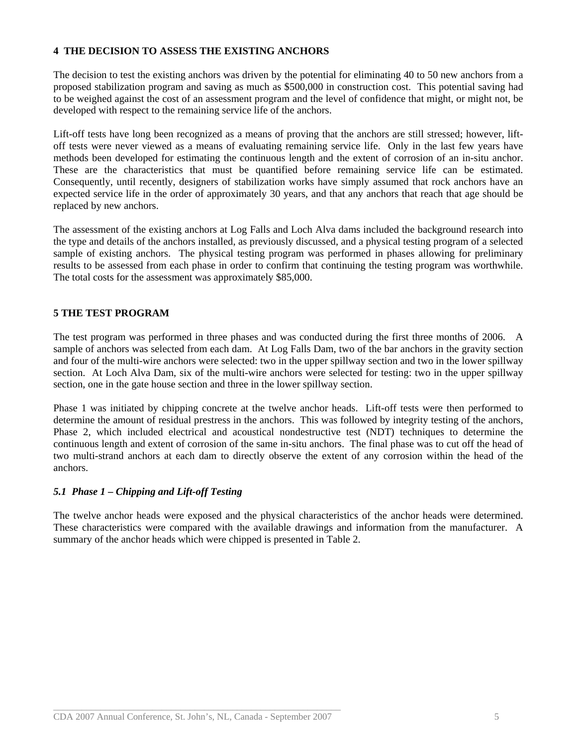## **4 THE DECISION TO ASSESS THE EXISTING ANCHORS**

The decision to test the existing anchors was driven by the potential for eliminating 40 to 50 new anchors from a proposed stabilization program and saving as much as \$500,000 in construction cost. This potential saving had to be weighed against the cost of an assessment program and the level of confidence that might, or might not, be developed with respect to the remaining service life of the anchors.

Lift-off tests have long been recognized as a means of proving that the anchors are still stressed; however, liftoff tests were never viewed as a means of evaluating remaining service life. Only in the last few years have methods been developed for estimating the continuous length and the extent of corrosion of an in-situ anchor. These are the characteristics that must be quantified before remaining service life can be estimated. Consequently, until recently, designers of stabilization works have simply assumed that rock anchors have an expected service life in the order of approximately 30 years, and that any anchors that reach that age should be replaced by new anchors.

The assessment of the existing anchors at Log Falls and Loch Alva dams included the background research into the type and details of the anchors installed, as previously discussed, and a physical testing program of a selected sample of existing anchors. The physical testing program was performed in phases allowing for preliminary results to be assessed from each phase in order to confirm that continuing the testing program was worthwhile. The total costs for the assessment was approximately \$85,000.

## **5 THE TEST PROGRAM**

The test program was performed in three phases and was conducted during the first three months of 2006. A sample of anchors was selected from each dam. At Log Falls Dam, two of the bar anchors in the gravity section and four of the multi-wire anchors were selected: two in the upper spillway section and two in the lower spillway section. At Loch Alva Dam, six of the multi-wire anchors were selected for testing: two in the upper spillway section, one in the gate house section and three in the lower spillway section.

Phase 1 was initiated by chipping concrete at the twelve anchor heads. Lift-off tests were then performed to determine the amount of residual prestress in the anchors. This was followed by integrity testing of the anchors, Phase 2, which included electrical and acoustical nondestructive test (NDT) techniques to determine the continuous length and extent of corrosion of the same in-situ anchors. The final phase was to cut off the head of two multi-strand anchors at each dam to directly observe the extent of any corrosion within the head of the anchors.

### *5.1 Phase 1 – Chipping and Lift-off Testing*

The twelve anchor heads were exposed and the physical characteristics of the anchor heads were determined. These characteristics were compared with the available drawings and information from the manufacturer. A summary of the anchor heads which were chipped is presented in Table 2.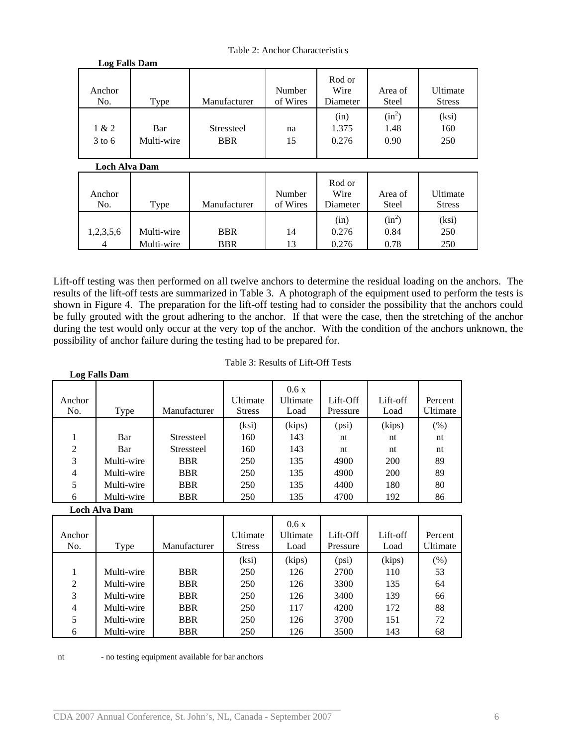Table 2: Anchor Characteristics

| <b>Log Falls Dam</b> |                   |                                 |                    |                            |                          |                           |
|----------------------|-------------------|---------------------------------|--------------------|----------------------------|--------------------------|---------------------------|
| Anchor<br>No.        | Type              | Manufacturer                    | Number<br>of Wires | Rod or<br>Wire<br>Diameter | Area of<br><b>Steel</b>  | Ultimate<br><b>Stress</b> |
| 1 & 2<br>$3$ to 6    | Bar<br>Multi-wire | <b>Stressteel</b><br><b>BBR</b> | na<br>15           | (in)<br>1.375<br>0.276     | $(in^2)$<br>1.48<br>0.90 | (ksi)<br>160<br>250       |

 **Loch Alva Dam** 

| Anchor<br>No.  | Type       | Manufacturer | Number<br>of Wires | Rod or<br>Wire<br>Diameter | Area of<br><b>Steel</b> | Ultimate<br><b>Stress</b> |
|----------------|------------|--------------|--------------------|----------------------------|-------------------------|---------------------------|
|                |            |              |                    | (in)                       | $(in^2)$                | (ksi)                     |
| 1,2,3,5,6      | Multi-wire | <b>BBR</b>   | 14                 | 0.276                      | 0.84                    | 250                       |
| $\overline{4}$ | Multi-wire | <b>BBR</b>   | 13                 | 0.276                      | 0.78                    | 250                       |

Lift-off testing was then performed on all twelve anchors to determine the residual loading on the anchors. The results of the lift-off tests are summarized in Table 3. A photograph of the equipment used to perform the tests is shown in Figure 4. The preparation for the lift-off testing had to consider the possibility that the anchors could be fully grouted with the grout adhering to the anchor. If that were the case, then the stretching of the anchor during the test would only occur at the very top of the anchor. With the condition of the anchors unknown, the possibility of anchor failure during the testing had to be prepared for.

| Table 3: Results of Lift-Off Tests |  |
|------------------------------------|--|
|------------------------------------|--|

|                | <b>Log Falls Dam</b> |                   |                           |                          |                      |                  |                     |
|----------------|----------------------|-------------------|---------------------------|--------------------------|----------------------|------------------|---------------------|
| Anchor<br>No.  | Type                 | Manufacturer      | Ultimate<br><b>Stress</b> | 0.6x<br>Ultimate<br>Load | Lift-Off<br>Pressure | Lift-off<br>Load | Percent<br>Ultimate |
|                |                      |                   | (ksi)                     | (kips)                   | (psi)                | (kips)           | (% )                |
| 1              | Bar                  | <b>Stressteel</b> | 160                       | 143                      | nt                   | nt               | nt                  |
| 2              | Bar                  | <b>Stressteel</b> | 160                       | 143                      | nt                   | nt               | nt                  |
| 3              | Multi-wire           | <b>BBR</b>        | 250                       | 135                      | 4900                 | 200              | 89                  |
| 4              | Multi-wire           | <b>BBR</b>        | 250                       | 135                      | 4900                 | 200              | 89                  |
| 5              | Multi-wire           | <b>BBR</b>        | 250                       | 135                      | 4400                 | 180              | 80                  |
| 6              | Multi-wire           | <b>BBR</b>        | 250                       | 135                      | 4700                 | 192              | 86                  |
|                | <b>Loch Alva Dam</b> |                   |                           |                          |                      |                  |                     |
|                |                      |                   |                           | 0.6x                     |                      |                  |                     |
| Anchor         |                      |                   | Ultimate                  | Ultimate                 | Lift-Off             | Lift-off         | Percent             |
| No.            | Type                 | Manufacturer      | <b>Stress</b>             | Load                     | Pressure             | Load             | Ultimate            |
|                |                      |                   | (ksi)                     | (kips)                   | (psi)                | (kips)           | (% )                |
| 1              | Multi-wire           | <b>BBR</b>        | 250                       | 126                      | 2700                 | 110              | 53                  |
| $\overline{2}$ | Multi-wire           | <b>BBR</b>        | 250                       | 126                      | 3300                 | 135              | 64                  |
| 3              | Multi-wire           | <b>BBR</b>        | 250                       | 126                      | 3400                 | 139              | 66                  |
| 4              | Multi-wire           | <b>BBR</b>        | 250                       | 117                      | 4200                 | 172              | 88                  |
| 5              | Multi-wire           | <b>BBR</b>        | 250                       | 126                      | 3700                 | 151              | 72                  |
| 6              | Multi-wire           | <b>BBR</b>        | 250                       | 126                      | 3500                 | 143              | 68                  |

nt - no testing equipment available for bar anchors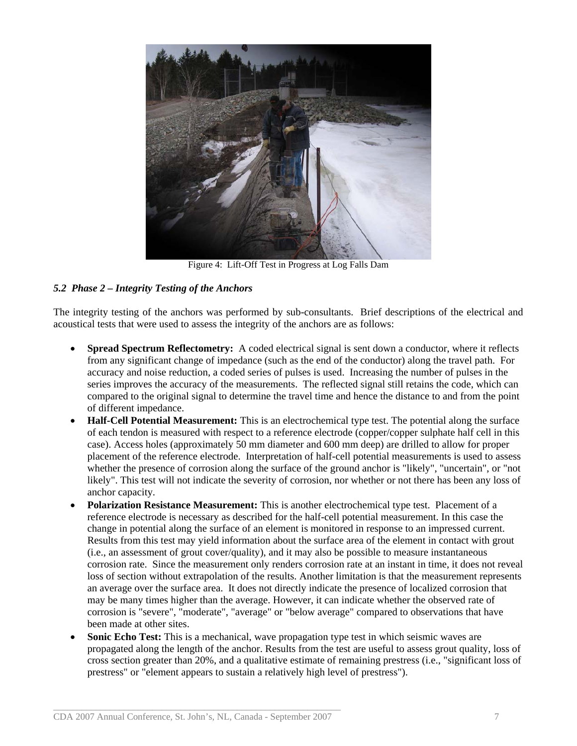

Figure 4: Lift-Off Test in Progress at Log Falls Dam

# *5.2 Phase 2 – Integrity Testing of the Anchors*

The integrity testing of the anchors was performed by sub-consultants. Brief descriptions of the electrical and acoustical tests that were used to assess the integrity of the anchors are as follows:

- **Spread Spectrum Reflectometry:** A coded electrical signal is sent down a conductor, where it reflects from any significant change of impedance (such as the end of the conductor) along the travel path. For accuracy and noise reduction, a coded series of pulses is used. Increasing the number of pulses in the series improves the accuracy of the measurements. The reflected signal still retains the code, which can compared to the original signal to determine the travel time and hence the distance to and from the point of different impedance.
- **Half-Cell Potential Measurement:** This is an electrochemical type test. The potential along the surface of each tendon is measured with respect to a reference electrode (copper/copper sulphate half cell in this case). Access holes (approximately 50 mm diameter and 600 mm deep) are drilled to allow for proper placement of the reference electrode. Interpretation of half-cell potential measurements is used to assess whether the presence of corrosion along the surface of the ground anchor is "likely", "uncertain", or "not likely". This test will not indicate the severity of corrosion, nor whether or not there has been any loss of anchor capacity.
- **Polarization Resistance Measurement:** This is another electrochemical type test. Placement of a reference electrode is necessary as described for the half-cell potential measurement. In this case the change in potential along the surface of an element is monitored in response to an impressed current. Results from this test may yield information about the surface area of the element in contact with grout (i.e., an assessment of grout cover/quality), and it may also be possible to measure instantaneous corrosion rate. Since the measurement only renders corrosion rate at an instant in time, it does not reveal loss of section without extrapolation of the results. Another limitation is that the measurement represents an average over the surface area. It does not directly indicate the presence of localized corrosion that may be many times higher than the average. However, it can indicate whether the observed rate of corrosion is "severe", "moderate", "average" or "below average" compared to observations that have been made at other sites.
- **Sonic Echo Test:** This is a mechanical, wave propagation type test in which seismic waves are propagated along the length of the anchor. Results from the test are useful to assess grout quality, loss of cross section greater than 20%, and a qualitative estimate of remaining prestress (i.e., "significant loss of prestress" or "element appears to sustain a relatively high level of prestress").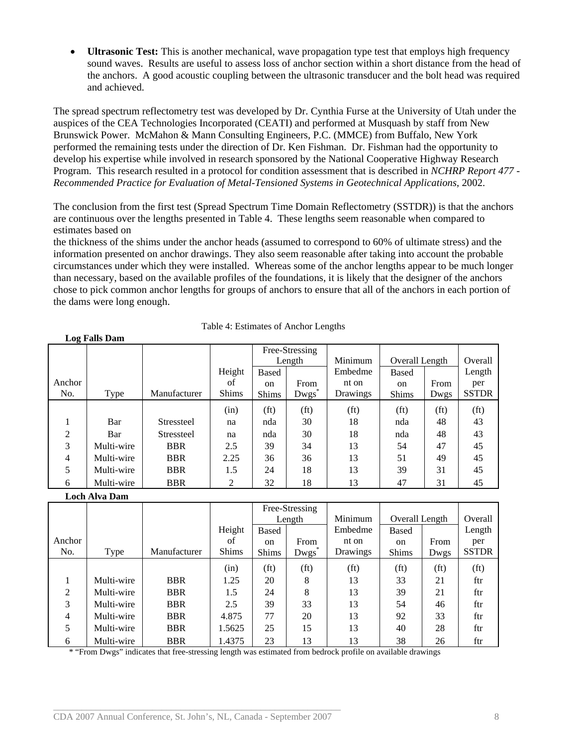• **Ultrasonic Test:** This is another mechanical, wave propagation type test that employs high frequency sound waves. Results are useful to assess loss of anchor section within a short distance from the head of the anchors. A good acoustic coupling between the ultrasonic transducer and the bolt head was required and achieved.

The spread spectrum reflectometry test was developed by Dr. Cynthia Furse at the University of Utah under the auspices of the CEA Technologies Incorporated (CEATI) and performed at Musquash by staff from New Brunswick Power. McMahon & Mann Consulting Engineers, P.C. (MMCE) from Buffalo, New York performed the remaining tests under the direction of Dr. Ken Fishman. Dr. Fishman had the opportunity to develop his expertise while involved in research sponsored by the National Cooperative Highway Research Program. This research resulted in a protocol for condition assessment that is described in *NCHRP Report 477 - Recommended Practice for Evaluation of Metal-Tensioned Systems in Geotechnical Applications*, 2002.

The conclusion from the first test (Spread Spectrum Time Domain Reflectometry (SSTDR)) is that the anchors are continuous over the lengths presented in Table 4. These lengths seem reasonable when compared to estimates based on

the thickness of the shims under the anchor heads (assumed to correspond to 60% of ultimate stress) and the information presented on anchor drawings. They also seem reasonable after taking into account the probable circumstances under which they were installed. Whereas some of the anchor lengths appear to be much longer than necessary, based on the available profiles of the foundations, it is likely that the designer of the anchors chose to pick common anchor lengths for groups of anchors to ensure that all of the anchors in each portion of the dams were long enough.

|        |            |                   |              | Free-Stressing    |                   |                   |                   |                   |                   |
|--------|------------|-------------------|--------------|-------------------|-------------------|-------------------|-------------------|-------------------|-------------------|
|        |            |                   |              |                   | Length            | Minimum           | Overall Length    |                   | Overall           |
|        |            |                   | Height       | <b>Based</b>      |                   | Embedme           | <b>Based</b>      |                   | Length            |
| Anchor |            |                   | of           | <sub>on</sub>     | From              | nt on             | <sub>on</sub>     | From              | per               |
| No.    | Type       | Manufacturer      | <b>Shims</b> | <b>Shims</b>      | Dwgs <sup>1</sup> | Drawings          | <b>Shims</b>      | Dwgs              | <b>SSTDR</b>      |
|        |            |                   | (in)         | (f <sub>t</sub> ) | (f <sub>t</sub> ) | (f <sub>t</sub> ) | (f <sub>t</sub> ) | (f <sub>t</sub> ) | (f <sub>t</sub> ) |
|        | Bar        | <b>Stressteel</b> | na           | nda               | 30                | 18                | nda               | 48                | 43                |
| 2      | Bar        | <b>Stressteel</b> | na           | nda               | 30                | 18                | nda               | 48                | 43                |
| 3      | Multi-wire | <b>BBR</b>        | 2.5          | 39                | 34                | 13                | 54                | 47                | 45                |
| 4      | Multi-wire | <b>BBR</b>        | 2.25         | 36                | 36                | 13                | 51                | 49                | 45                |
| 5      | Multi-wire | <b>BBR</b>        | 1.5          | 24                | 18                | 13                | 39                | 31                | 45                |
| 6      | Multi-wire | <b>BBR</b>        | 2            | 32                | 18                | 13                | 47                | 31                | 45                |

| Table 4: Estimates of Anchor Lengths |  |  |  |
|--------------------------------------|--|--|--|
|--------------------------------------|--|--|--|

#### **Loch Alva Dam**

 **Log Falls Dam**

|                |            |              |              | Free-Stressing    |                   |                   |                   |                   |                   |
|----------------|------------|--------------|--------------|-------------------|-------------------|-------------------|-------------------|-------------------|-------------------|
|                |            |              |              |                   | Length            | Minimum           | Overall Length    |                   | Overall           |
|                |            |              | Height       | <b>Based</b>      |                   | Embedme           | <b>Based</b>      |                   | Length            |
| Anchor         |            |              | of           | <sub>on</sub>     | From              | nt on             | <sub>on</sub>     | From              | per               |
| No.            | Type       | Manufacturer | <b>Shims</b> | <b>Shims</b>      | Dwgs <sup>1</sup> | <b>Drawings</b>   | <b>Shims</b>      | Dwgs              | <b>SSTDR</b>      |
|                |            |              | (in)         | (f <sub>t</sub> ) | (f <sub>t</sub> ) | (f <sub>t</sub> ) | (f <sub>t</sub> ) | (f <sub>t</sub> ) | (f <sub>t</sub> ) |
|                | Multi-wire | <b>BBR</b>   | 1.25         | 20                | 8                 | 13                | 33                | 21                | ftr               |
| 2              | Multi-wire | <b>BBR</b>   | 1.5          | 24                | 8                 | 13                | 39                | 21                | ftr               |
| 3              | Multi-wire | <b>BBR</b>   | 2.5          | 39                | 33                | 13                | 54                | 46                | ftr               |
| $\overline{4}$ | Multi-wire | <b>BBR</b>   | 4.875        | 77                | 20                | 13                | 92                | 33                | ftr               |
| 5              | Multi-wire | <b>BBR</b>   | 1.5625       | 25                | 15                | 13                | 40                | 28                | ftr               |
| 6              | Multi-wire | <b>BBR</b>   | 1.4375       | 23                | 13                | 13                | 38                | 26                | ftr               |

\* "From Dwgs" indicates that free-stressing length was estimated from bedrock profile on available drawings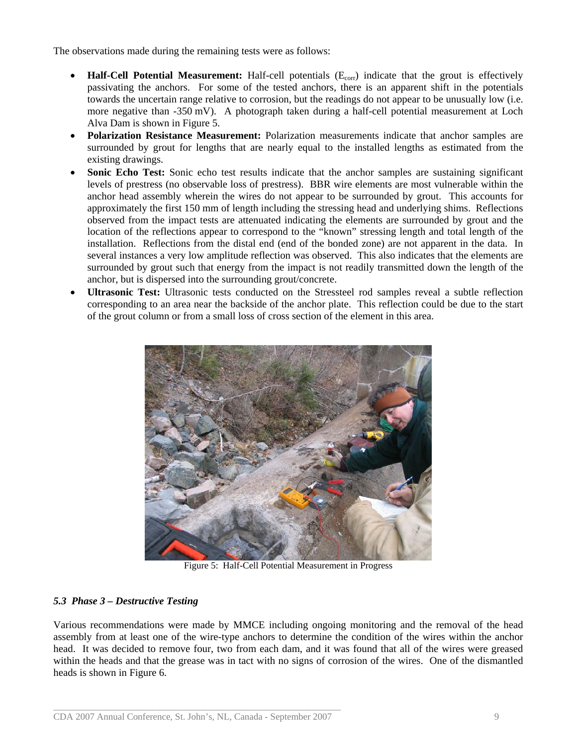The observations made during the remaining tests were as follows:

- Half-Cell Potential Measurement: Half-cell potentials (E<sub>corr</sub>) indicate that the grout is effectively passivating the anchors. For some of the tested anchors, there is an apparent shift in the potentials towards the uncertain range relative to corrosion, but the readings do not appear to be unusually low (i.e. more negative than -350 mV). A photograph taken during a half-cell potential measurement at Loch Alva Dam is shown in Figure 5.
- **Polarization Resistance Measurement:** Polarization measurements indicate that anchor samples are surrounded by grout for lengths that are nearly equal to the installed lengths as estimated from the existing drawings.
- **Sonic Echo Test:** Sonic echo test results indicate that the anchor samples are sustaining significant levels of prestress (no observable loss of prestress). BBR wire elements are most vulnerable within the anchor head assembly wherein the wires do not appear to be surrounded by grout. This accounts for approximately the first 150 mm of length including the stressing head and underlying shims. Reflections observed from the impact tests are attenuated indicating the elements are surrounded by grout and the location of the reflections appear to correspond to the "known" stressing length and total length of the installation. Reflections from the distal end (end of the bonded zone) are not apparent in the data. In several instances a very low amplitude reflection was observed. This also indicates that the elements are surrounded by grout such that energy from the impact is not readily transmitted down the length of the anchor, but is dispersed into the surrounding grout/concrete.
- **Ultrasonic Test:** Ultrasonic tests conducted on the Stressteel rod samples reveal a subtle reflection corresponding to an area near the backside of the anchor plate. This reflection could be due to the start of the grout column or from a small loss of cross section of the element in this area.



Figure 5: Half-Cell Potential Measurement in Progress

# *5.3 Phase 3 – Destructive Testing*

Various recommendations were made by MMCE including ongoing monitoring and the removal of the head assembly from at least one of the wire-type anchors to determine the condition of the wires within the anchor head. It was decided to remove four, two from each dam, and it was found that all of the wires were greased within the heads and that the grease was in tact with no signs of corrosion of the wires. One of the dismantled heads is shown in Figure 6.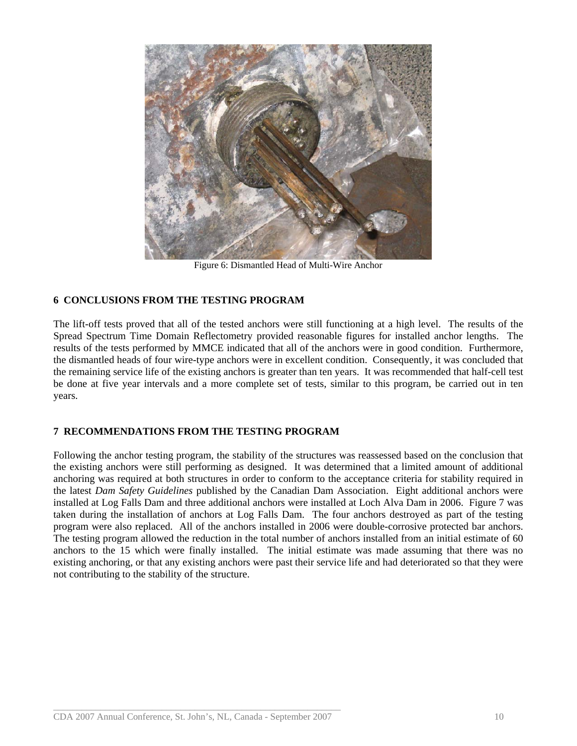

Figure 6: Dismantled Head of Multi-Wire Anchor

# **6 CONCLUSIONS FROM THE TESTING PROGRAM**

The lift-off tests proved that all of the tested anchors were still functioning at a high level. The results of the Spread Spectrum Time Domain Reflectometry provided reasonable figures for installed anchor lengths. The results of the tests performed by MMCE indicated that all of the anchors were in good condition. Furthermore, the dismantled heads of four wire-type anchors were in excellent condition. Consequently, it was concluded that the remaining service life of the existing anchors is greater than ten years. It was recommended that half-cell test be done at five year intervals and a more complete set of tests, similar to this program, be carried out in ten years.

### **7 RECOMMENDATIONS FROM THE TESTING PROGRAM**

Following the anchor testing program, the stability of the structures was reassessed based on the conclusion that the existing anchors were still performing as designed. It was determined that a limited amount of additional anchoring was required at both structures in order to conform to the acceptance criteria for stability required in the latest *Dam Safety Guidelines* published by the Canadian Dam Association. Eight additional anchors were installed at Log Falls Dam and three additional anchors were installed at Loch Alva Dam in 2006. Figure 7 was taken during the installation of anchors at Log Falls Dam. The four anchors destroyed as part of the testing program were also replaced. All of the anchors installed in 2006 were double-corrosive protected bar anchors. The testing program allowed the reduction in the total number of anchors installed from an initial estimate of 60 anchors to the 15 which were finally installed. The initial estimate was made assuming that there was no existing anchoring, or that any existing anchors were past their service life and had deteriorated so that they were not contributing to the stability of the structure.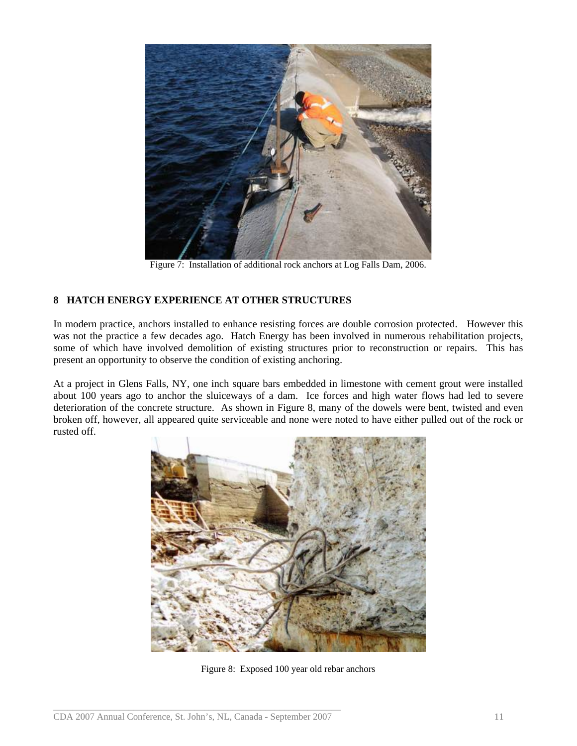

Figure 7: Installation of additional rock anchors at Log Falls Dam, 2006.

# **8 HATCH ENERGY EXPERIENCE AT OTHER STRUCTURES**

In modern practice, anchors installed to enhance resisting forces are double corrosion protected. However this was not the practice a few decades ago. Hatch Energy has been involved in numerous rehabilitation projects, some of which have involved demolition of existing structures prior to reconstruction or repairs. This has present an opportunity to observe the condition of existing anchoring.

At a project in Glens Falls, NY, one inch square bars embedded in limestone with cement grout were installed about 100 years ago to anchor the sluiceways of a dam. Ice forces and high water flows had led to severe deterioration of the concrete structure. As shown in Figure 8, many of the dowels were bent, twisted and even broken off, however, all appeared quite serviceable and none were noted to have either pulled out of the rock or rusted off.



Figure 8: Exposed 100 year old rebar anchors